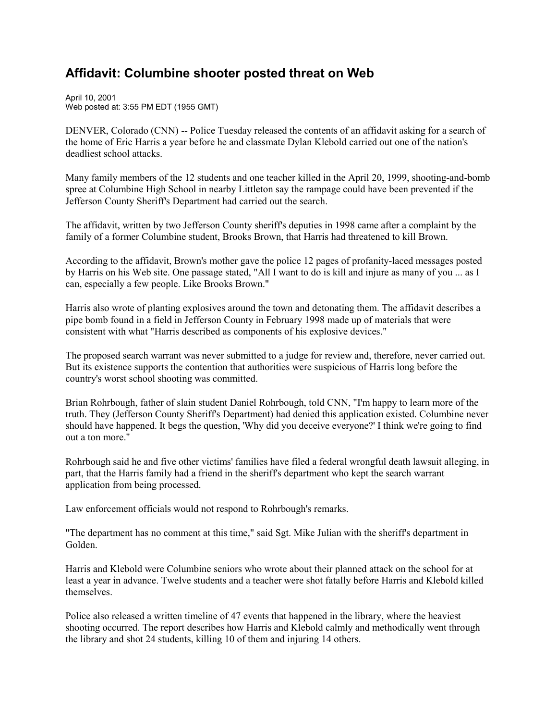## **Affidavit: Columbine shooter posted threat on Web**

April 10, 2001 Web posted at: 3:55 PM EDT (1955 GMT)

DENVER, Colorado (CNN) -- Police Tuesday released the contents of an affidavit asking for a search of the home of Eric Harris a year before he and classmate Dylan Klebold carried out one of the nation's deadliest school attacks.

Many family members of the 12 students and one teacher killed in the April 20, 1999, shooting-and-bomb spree at Columbine High School in nearby Littleton say the rampage could have been prevented if the Jefferson County Sheriff's Department had carried out the search.

The affidavit, written by two Jefferson County sheriff's deputies in 1998 came after a complaint by the family of a former Columbine student, Brooks Brown, that Harris had threatened to kill Brown.

According to the affidavit, Brown's mother gave the police 12 pages of profanity-laced messages posted by Harris on his Web site. One passage stated, "All I want to do is kill and injure as many of you ... as I can, especially a few people. Like Brooks Brown."

Harris also wrote of planting explosives around the town and detonating them. The affidavit describes a pipe bomb found in a field in Jefferson County in February 1998 made up of materials that were consistent with what "Harris described as components of his explosive devices."

The proposed search warrant was never submitted to a judge for review and, therefore, never carried out. But its existence supports the contention that authorities were suspicious of Harris long before the country's worst school shooting was committed.

Brian Rohrbough, father of slain student Daniel Rohrbough, told CNN, "I'm happy to learn more of the truth. They (Jefferson County Sheriff's Department) had denied this application existed. Columbine never should have happened. It begs the question, 'Why did you deceive everyone?' I think we're going to find out a ton more."

Rohrbough said he and five other victims' families have filed a federal wrongful death lawsuit alleging, in part, that the Harris family had a friend in the sheriff's department who kept the search warrant application from being processed.

Law enforcement officials would not respond to Rohrbough's remarks.

"The department has no comment at this time," said Sgt. Mike Julian with the sheriff's department in Golden.

Harris and Klebold were Columbine seniors who wrote about their planned attack on the school for at least a year in advance. Twelve students and a teacher were shot fatally before Harris and Klebold killed themselves.

Police also released a written timeline of 47 events that happened in the library, where the heaviest shooting occurred. The report describes how Harris and Klebold calmly and methodically went through the library and shot 24 students, killing 10 of them and injuring 14 others.